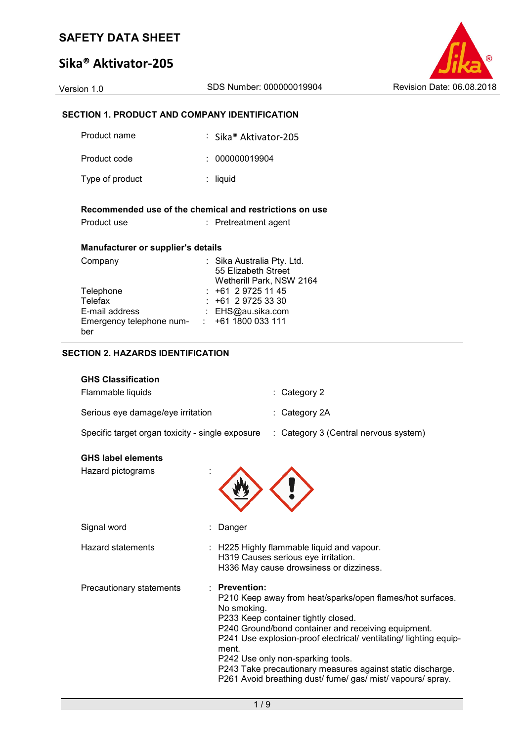# **Sika® Aktivator-205**



# **SECTION 1. PRODUCT AND COMPANY IDENTIFICATION**

| Product name                                                           | : Sika® Aktivator-205                             |
|------------------------------------------------------------------------|---------------------------------------------------|
| Product code                                                           | 000000019904                                      |
| Type of product                                                        | liquid                                            |
| Recommended use of the chemical and restrictions on use<br>Product use | $:$ Pretreatment agent                            |
|                                                                        |                                                   |
| <b>Manufacturer or supplier's details</b>                              |                                                   |
| Company                                                                | : Sika Australia Pty. Ltd.<br>55 Elizabeth Street |
| Telephone                                                              | Wetherill Park, NSW 2164<br>$: +61297251145$      |
| Telefax                                                                | +61 2 9725 33 30                                  |
| E-mail address<br>Emergency telephone num- : +61 1800 033 111          | : EHS@au.sika.com                                 |

## **SECTION 2. HAZARDS IDENTIFICATION**

| <b>GHS Classification</b>                        |                                            |                                                                                                                                                                                                                                                                                                                                                                                                |  |  |
|--------------------------------------------------|--------------------------------------------|------------------------------------------------------------------------------------------------------------------------------------------------------------------------------------------------------------------------------------------------------------------------------------------------------------------------------------------------------------------------------------------------|--|--|
| Flammable liquids                                |                                            | : Category 2                                                                                                                                                                                                                                                                                                                                                                                   |  |  |
| Serious eye damage/eye irritation                |                                            | : Category 2A                                                                                                                                                                                                                                                                                                                                                                                  |  |  |
| Specific target organ toxicity - single exposure |                                            | : Category 3 (Central nervous system)                                                                                                                                                                                                                                                                                                                                                          |  |  |
| <b>GHS label elements</b>                        |                                            |                                                                                                                                                                                                                                                                                                                                                                                                |  |  |
| Hazard pictograms                                |                                            |                                                                                                                                                                                                                                                                                                                                                                                                |  |  |
| Signal word                                      | Danger                                     |                                                                                                                                                                                                                                                                                                                                                                                                |  |  |
| <b>Hazard statements</b>                         |                                            | : H225 Highly flammable liquid and vapour.<br>H319 Causes serious eye irritation.<br>H336 May cause drowsiness or dizziness.                                                                                                                                                                                                                                                                   |  |  |
| Precautionary statements                         | <b>Prevention:</b><br>No smoking.<br>ment. | P210 Keep away from heat/sparks/open flames/hot surfaces.<br>P233 Keep container tightly closed.<br>P240 Ground/bond container and receiving equipment.<br>P241 Use explosion-proof electrical/ ventilating/ lighting equip-<br>P242 Use only non-sparking tools.<br>P243 Take precautionary measures against static discharge.<br>P261 Avoid breathing dust/ fume/ gas/ mist/ vapours/ spray. |  |  |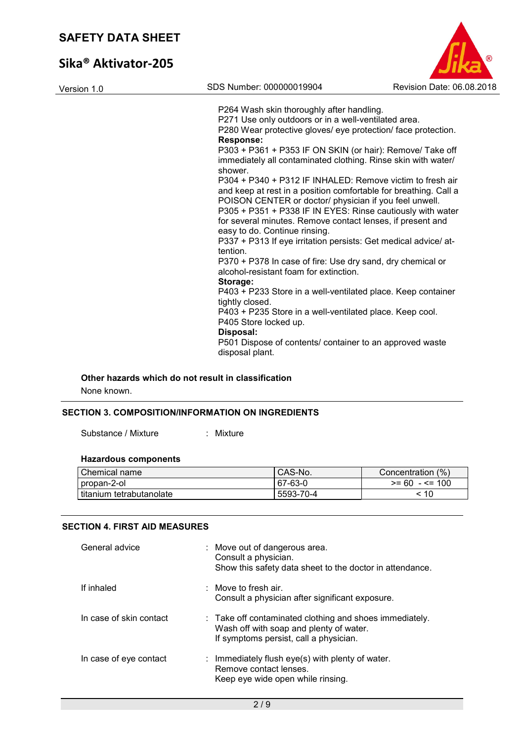# **Sika® Aktivator-205**

| Version 1.0 | SDS Number: 000000019904                                                                                                                                                                                                                                                                                            | Revision Date: 06.08.2018 |
|-------------|---------------------------------------------------------------------------------------------------------------------------------------------------------------------------------------------------------------------------------------------------------------------------------------------------------------------|---------------------------|
|             | P264 Wash skin thoroughly after handling.<br>P271 Use only outdoors or in a well-ventilated area.<br>P280 Wear protective gloves/ eye protection/ face protection.                                                                                                                                                  |                           |
|             | <b>Response:</b><br>P303 + P361 + P353 IF ON SKIN (or hair): Remove/ Take off<br>immediately all contaminated clothing. Rinse skin with water/<br>shower.                                                                                                                                                           |                           |
|             | P304 + P340 + P312 IF INHALED: Remove victim to fresh air<br>and keep at rest in a position comfortable for breathing. Call a<br>POISON CENTER or doctor/ physician if you feel unwell.<br>P305 + P351 + P338 IF IN EYES: Rinse cautiously with water<br>for several minutes. Remove contact lenses, if present and |                           |
|             | easy to do. Continue rinsing.<br>P337 + P313 If eye irritation persists: Get medical advice/ at-<br>tention.                                                                                                                                                                                                        |                           |
|             | P370 + P378 In case of fire: Use dry sand, dry chemical or<br>alcohol-resistant foam for extinction.<br>Storage:                                                                                                                                                                                                    |                           |
|             | P403 + P233 Store in a well-ventilated place. Keep container<br>tightly closed.<br>P403 + P235 Store in a well-ventilated place. Keep cool.                                                                                                                                                                         |                           |
|             | P405 Store locked up.<br>Disposal:                                                                                                                                                                                                                                                                                  |                           |
|             | P501 Dispose of contents/ container to an approved waste<br>disposal plant.                                                                                                                                                                                                                                         |                           |

B

### **Other hazards which do not result in classification**

None known.

## **SECTION 3. COMPOSITION/INFORMATION ON INGREDIENTS**

Substance / Mixture : Mixture

# **Hazardous components**

| Chemical name              | CAS-No.   | Concentration (%) |
|----------------------------|-----------|-------------------|
| ⊑propan-2-ol               | 67-63-0   | $>= 60 - \le 100$ |
| l titanium tetrabutanolate | 5593-70-4 | -10               |

#### **SECTION 4. FIRST AID MEASURES**

| General advice          | : Move out of dangerous area.<br>Consult a physician.<br>Show this safety data sheet to the doctor in attendance.                            |
|-------------------------|----------------------------------------------------------------------------------------------------------------------------------------------|
| If inhaled              | $\therefore$ Move to fresh air.<br>Consult a physician after significant exposure.                                                           |
| In case of skin contact | : Take off contaminated clothing and shoes immediately.<br>Wash off with soap and plenty of water.<br>If symptoms persist, call a physician. |
| In case of eye contact  | : Immediately flush eye(s) with plenty of water.<br>Remove contact lenses.<br>Keep eye wide open while rinsing.                              |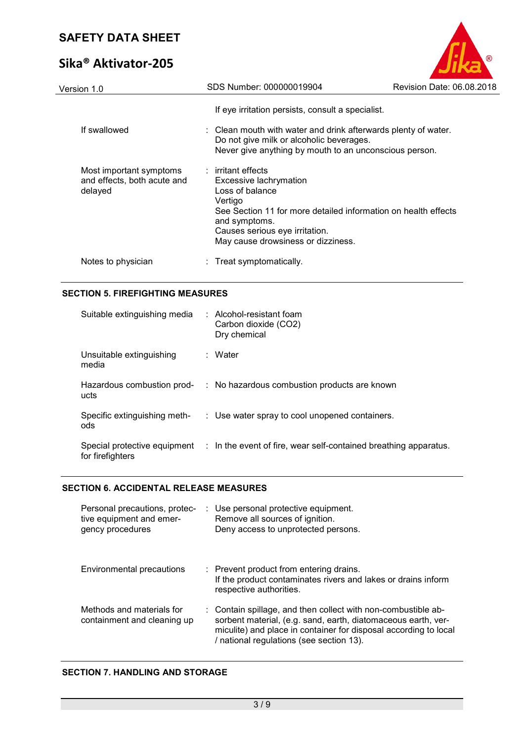# **Sika® Aktivator-205**

| Version 1.0                                                       | SDS Number: 000000019904                                                                                                                                                                                                                | Revision Date: 06.08.2018 |
|-------------------------------------------------------------------|-----------------------------------------------------------------------------------------------------------------------------------------------------------------------------------------------------------------------------------------|---------------------------|
|                                                                   | If eye irritation persists, consult a specialist.                                                                                                                                                                                       |                           |
| If swallowed                                                      | : Clean mouth with water and drink afterwards plenty of water.<br>Do not give milk or alcoholic beverages.<br>Never give anything by mouth to an unconscious person.                                                                    |                           |
| Most important symptoms<br>and effects, both acute and<br>delayed | $:$ irritant effects<br>Excessive lachrymation<br>Loss of balance<br>Vertigo<br>See Section 11 for more detailed information on health effects<br>and symptoms.<br>Causes serious eye irritation.<br>May cause drowsiness or dizziness. |                           |
| Notes to physician                                                | : Treat symptomatically.                                                                                                                                                                                                                |                           |
|                                                                   |                                                                                                                                                                                                                                         |                           |

R

## **SECTION 5. FIREFIGHTING MEASURES**

| Suitable extinguishing media        | $:$ Alcohol-resistant foam<br>Carbon dioxide (CO2)<br>Dry chemical                            |
|-------------------------------------|-----------------------------------------------------------------------------------------------|
| Unsuitable extinguishing<br>media   | : Water                                                                                       |
| Hazardous combustion prod-<br>ucts  | : No hazardous combustion products are known                                                  |
| Specific extinguishing meth-<br>ods | : Use water spray to cool unopened containers.                                                |
| for firefighters                    | Special protective equipment : In the event of fire, wear self-contained breathing apparatus. |

# **SECTION 6. ACCIDENTAL RELEASE MEASURES**

| Personal precautions, protec-<br>tive equipment and emer-<br>gency procedures | : Use personal protective equipment.<br>Remove all sources of ignition.<br>Deny access to unprotected persons.                                                                                                                                 |
|-------------------------------------------------------------------------------|------------------------------------------------------------------------------------------------------------------------------------------------------------------------------------------------------------------------------------------------|
| Environmental precautions                                                     | : Prevent product from entering drains.<br>If the product contaminates rivers and lakes or drains inform<br>respective authorities.                                                                                                            |
| Methods and materials for<br>containment and cleaning up                      | : Contain spillage, and then collect with non-combustible ab-<br>sorbent material, (e.g. sand, earth, diatomaceous earth, ver-<br>miculite) and place in container for disposal according to local<br>/ national regulations (see section 13). |

# **SECTION 7. HANDLING AND STORAGE**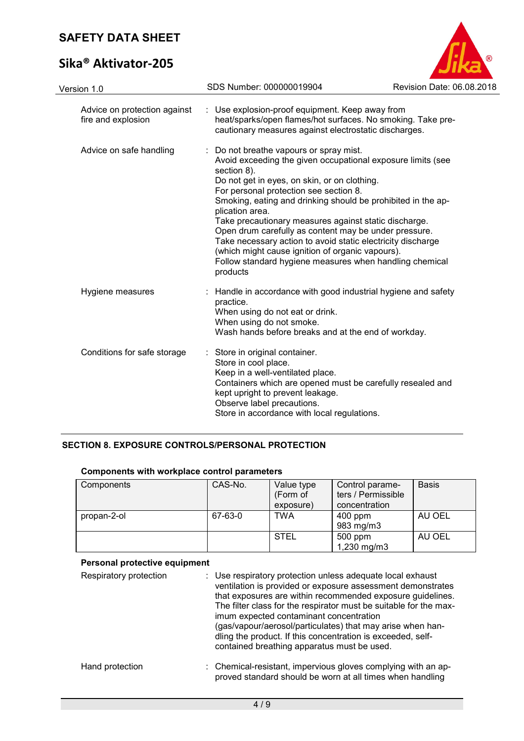# **Sika® Aktivator-205**



| Version 1.0                                        | SDS Number: 000000019904                                                                                                                                                                                                                                                                                                                                                                                                                                                                                                                                                                                       | Revision Date: 06.08.2018 |
|----------------------------------------------------|----------------------------------------------------------------------------------------------------------------------------------------------------------------------------------------------------------------------------------------------------------------------------------------------------------------------------------------------------------------------------------------------------------------------------------------------------------------------------------------------------------------------------------------------------------------------------------------------------------------|---------------------------|
| Advice on protection against<br>fire and explosion | : Use explosion-proof equipment. Keep away from<br>heat/sparks/open flames/hot surfaces. No smoking. Take pre-<br>cautionary measures against electrostatic discharges.                                                                                                                                                                                                                                                                                                                                                                                                                                        |                           |
| Advice on safe handling                            | : Do not breathe vapours or spray mist.<br>Avoid exceeding the given occupational exposure limits (see<br>section 8).<br>Do not get in eyes, on skin, or on clothing.<br>For personal protection see section 8.<br>Smoking, eating and drinking should be prohibited in the ap-<br>plication area.<br>Take precautionary measures against static discharge.<br>Open drum carefully as content may be under pressure.<br>Take necessary action to avoid static electricity discharge<br>(which might cause ignition of organic vapours).<br>Follow standard hygiene measures when handling chemical<br>products |                           |
| Hygiene measures                                   | Handle in accordance with good industrial hygiene and safety<br>practice.<br>When using do not eat or drink.<br>When using do not smoke.<br>Wash hands before breaks and at the end of workday.                                                                                                                                                                                                                                                                                                                                                                                                                |                           |
| Conditions for safe storage                        | : Store in original container.<br>Store in cool place.<br>Keep in a well-ventilated place.<br>Containers which are opened must be carefully resealed and<br>kept upright to prevent leakage.<br>Observe label precautions.<br>Store in accordance with local regulations.                                                                                                                                                                                                                                                                                                                                      |                           |

# **SECTION 8. EXPOSURE CONTROLS/PERSONAL PROTECTION**

|  | <b>Components with workplace control parameters</b> |  |  |  |  |
|--|-----------------------------------------------------|--|--|--|--|
|--|-----------------------------------------------------|--|--|--|--|

| Components  | CAS-No. | Value type<br>(Form of<br>exposure) | Control parame-<br>ters / Permissible<br>concentration | <b>Basis</b> |
|-------------|---------|-------------------------------------|--------------------------------------------------------|--------------|
| propan-2-ol | 67-63-0 | <b>TWA</b>                          | $400$ ppm<br>983 mg/m3                                 | AU OEL       |
|             |         | <b>STEL</b>                         | 500 ppm<br>1,230 mg/m3                                 | AU OEL       |

#### **Personal protective equipment**

| Respiratory protection | : Use respiratory protection unless adequate local exhaust<br>ventilation is provided or exposure assessment demonstrates<br>that exposures are within recommended exposure guidelines.<br>The filter class for the respirator must be suitable for the max-<br>imum expected contaminant concentration<br>(gas/vapour/aerosol/particulates) that may arise when han-<br>dling the product. If this concentration is exceeded, self-<br>contained breathing apparatus must be used. |
|------------------------|-------------------------------------------------------------------------------------------------------------------------------------------------------------------------------------------------------------------------------------------------------------------------------------------------------------------------------------------------------------------------------------------------------------------------------------------------------------------------------------|
| Hand protection        | : Chemical-resistant, impervious gloves complying with an ap-<br>proved standard should be worn at all times when handling                                                                                                                                                                                                                                                                                                                                                          |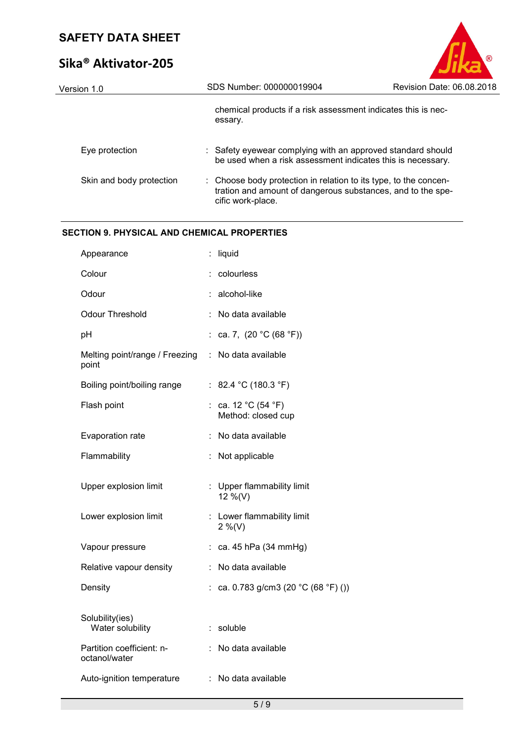# **Sika® Aktivator-205**

| Version 1.0              | SDS Number: 000000019904                                                                                                                             | Revision Date: 06.08.2018 |
|--------------------------|------------------------------------------------------------------------------------------------------------------------------------------------------|---------------------------|
|                          | chemical products if a risk assessment indicates this is nec-<br>essary.                                                                             |                           |
| Eye protection           | : Safety eyewear complying with an approved standard should<br>be used when a risk assessment indicates this is necessary.                           |                           |
| Skin and body protection | : Choose body protection in relation to its type, to the concen-<br>tration and amount of dangerous substances, and to the spe-<br>cific work-place. |                           |

## **SECTION 9. PHYSICAL AND CHEMICAL PROPERTIES**

|                                      | liquid                                                        |
|--------------------------------------|---------------------------------------------------------------|
|                                      | colourless                                                    |
|                                      | alcohol-like                                                  |
|                                      | No data available                                             |
| t.                                   | ca. 7, $(20 °C (68 °F))$                                      |
| Melting point/range / Freezing<br>÷. | No data available                                             |
| t.                                   | 82.4 °C (180.3 °F)                                            |
|                                      | : ca. 12 $^{\circ}$ C (54 $^{\circ}$ F)<br>Method: closed cup |
| t                                    | No data available                                             |
| t                                    | Not applicable                                                |
|                                      |                                                               |
|                                      | : Upper flammability limit<br>12 %(V)                         |
|                                      | : Lower flammability limit<br>$2\%$ (V)                       |
| ÷                                    | ca. 45 hPa (34 mmHg)                                          |
| ÷                                    | No data available                                             |
| t.                                   | ca. 0.783 g/cm3 (20 °C (68 °F) ())                            |
|                                      | : soluble                                                     |
|                                      | No data available                                             |
|                                      |                                                               |

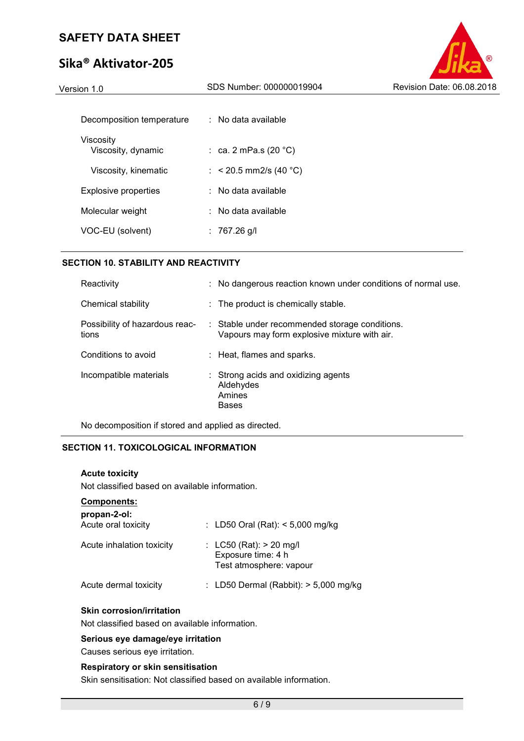# **Sika® Aktivator-205**

| Version 1.0                 | SDS Number: 000000019904        | Revision Date: 06.08.2018 |
|-----------------------------|---------------------------------|---------------------------|
|                             |                                 |                           |
| Decomposition temperature   | $\therefore$ No data available  |                           |
| Viscosity                   |                                 |                           |
| Viscosity, dynamic          | : ca. 2 mPa.s (20 $^{\circ}$ C) |                           |
| Viscosity, kinematic        | : $<$ 20.5 mm2/s (40 °C)        |                           |
| <b>Explosive properties</b> | $\therefore$ No data available  |                           |
| Molecular weight            | $\therefore$ No data available  |                           |
| VOC-EU (solvent)            | : $767.26$ g/l                  |                           |
|                             |                                 |                           |

# **SECTION 10. STABILITY AND REACTIVITY**

| Reactivity                              | : No dangerous reaction known under conditions of normal use.                                  |
|-----------------------------------------|------------------------------------------------------------------------------------------------|
| Chemical stability                      | : The product is chemically stable.                                                            |
| Possibility of hazardous reac-<br>tions | : Stable under recommended storage conditions.<br>Vapours may form explosive mixture with air. |
| Conditions to avoid                     | : Heat, flames and sparks.                                                                     |
| Incompatible materials                  | : Strong acids and oxidizing agents<br>Aldehydes<br>Amines<br><b>Bases</b>                     |

No decomposition if stored and applied as directed.

# **SECTION 11. TOXICOLOGICAL INFORMATION**

# **Acute toxicity**

Not classified based on available information.

## **Components:**

| propan-2-ol:<br>Acute oral toxicity | : LD50 Oral (Rat): $<$ 5,000 mg/kg                                           |
|-------------------------------------|------------------------------------------------------------------------------|
| Acute inhalation toxicity           | : $LC50$ (Rat): $> 20$ mg/l<br>Exposure time: 4 h<br>Test atmosphere: vapour |
| Acute dermal toxicity               | : LD50 Dermal (Rabbit): $> 5,000$ mg/kg                                      |

#### **Skin corrosion/irritation**

Not classified based on available information.

#### **Serious eye damage/eye irritation**

Causes serious eye irritation.

#### **Respiratory or skin sensitisation**

Skin sensitisation: Not classified based on available information.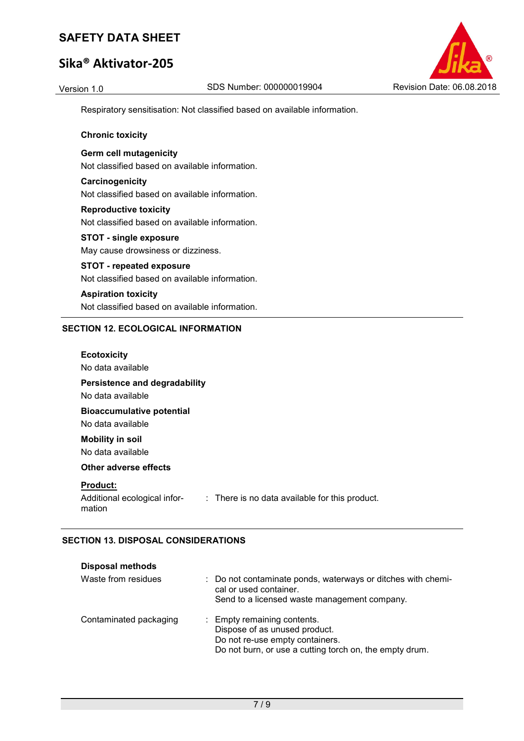# **Sika® Aktivator-205**



Respiratory sensitisation: Not classified based on available information.

## **Chronic toxicity**

**Germ cell mutagenicity**  Not classified based on available information.

**Carcinogenicity**  Not classified based on available information.

**Reproductive toxicity**  Not classified based on available information.

**STOT - single exposure**  May cause drowsiness or dizziness.

# **STOT - repeated exposure**

Not classified based on available information.

**Aspiration toxicity**  Not classified based on available information.

## **SECTION 12. ECOLOGICAL INFORMATION**

| <b>Ecotoxicity</b><br>No data available                                               |
|---------------------------------------------------------------------------------------|
| Persistence and degradability<br>No data available                                    |
| <b>Bioaccumulative potential</b><br>No data available                                 |
| <b>Mobility in soil</b><br>No data available                                          |
| Other adverse effects                                                                 |
| <b>Product:</b>                                                                       |
| Additional ecological infor- : There is no data available for this product.<br>mation |

# **SECTION 13. DISPOSAL CONSIDERATIONS**

| <b>Disposal methods</b> |                                                                                                                                                            |
|-------------------------|------------------------------------------------------------------------------------------------------------------------------------------------------------|
| Waste from residues     | : Do not contaminate ponds, waterways or ditches with chemi-<br>cal or used container.<br>Send to a licensed waste management company.                     |
| Contaminated packaging  | : Empty remaining contents.<br>Dispose of as unused product.<br>Do not re-use empty containers.<br>Do not burn, or use a cutting torch on, the empty drum. |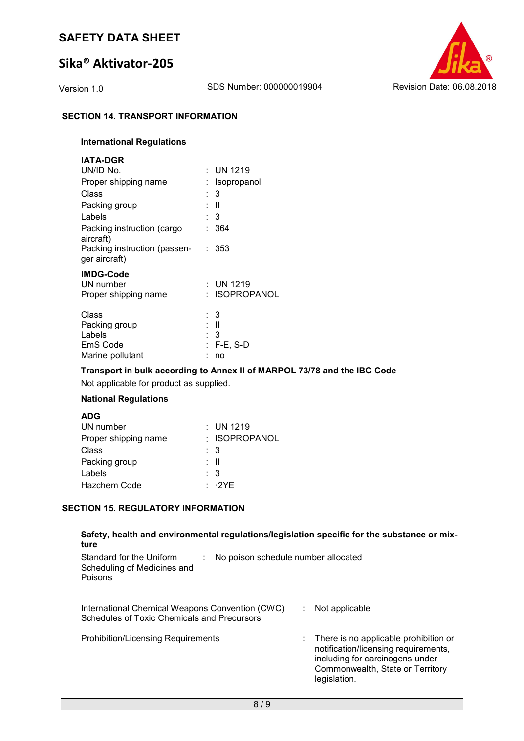# **Sika® Aktivator-205**



#### **SECTION 14. TRANSPORT INFORMATION**

# **International Regulations**

| <b>IATA-DGR</b>                                                  |                                        |
|------------------------------------------------------------------|----------------------------------------|
| UN/ID No.                                                        | $:$ UN 1219                            |
| Proper shipping name                                             | <b>Isopropanol</b>                     |
| Class                                                            | : 3                                    |
| Packing group                                                    | : II                                   |
| Labels                                                           | : 3                                    |
| Packing instruction (cargo<br>aircraft)                          | 364<br>٠.                              |
| Packing instruction (passen-<br>ger aircraft)                    | : 353                                  |
| <b>IMDG-Code</b><br>UN number<br>Proper shipping name            | : UN 1219<br><b>ISOPROPANOL</b>        |
| Class<br>Packing group<br>Labels<br>EmS Code<br>Marine pollutant | : 3<br>: II<br>: 3<br>: F-E, S-D<br>no |

## **Transport in bulk according to Annex II of MARPOL 73/78 and the IBC Code**

Not applicable for product as supplied.

# **National Regulations**

| <b>ADG</b>           |                     |
|----------------------|---------------------|
| UN number            | $:$ UN 1219         |
| Proper shipping name | : ISOPROPANOL       |
| Class                | : 3                 |
| Packing group        | : II                |
| Labels               | $\therefore$ 3      |
| Hazchem Code         | $\cdot$ $\cdot$ 2YF |
|                      |                     |

# **SECTION 15. REGULATORY INFORMATION**

| Safety, health and environmental regulations/legislation specific for the substance or mix-<br>ture       |                                                                                                                                                                      |
|-----------------------------------------------------------------------------------------------------------|----------------------------------------------------------------------------------------------------------------------------------------------------------------------|
| Standard for the Uniform<br>No poison schedule number allocated<br>Scheduling of Medicines and<br>Poisons |                                                                                                                                                                      |
| International Chemical Weapons Convention (CWC)<br>Schedules of Toxic Chemicals and Precursors            | Not applicable                                                                                                                                                       |
| <b>Prohibition/Licensing Requirements</b>                                                                 | There is no applicable prohibition or<br>notification/licensing requirements,<br>including for carcinogens under<br>Commonwealth, State or Territory<br>legislation. |